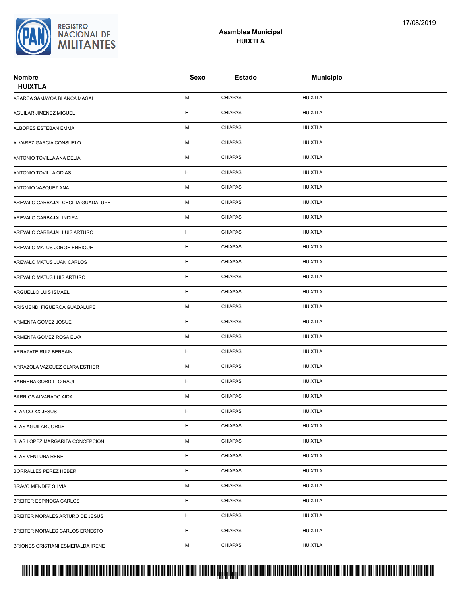

### **Asamblea Municipal HUIXTLA**

| <b>Nombre</b><br><b>HUIXTLA</b>    | Sexo | <b>Estado</b>  | <b>Municipio</b> |  |
|------------------------------------|------|----------------|------------------|--|
| ABARCA SAMAYOA BLANCA MAGALI       | М    | <b>CHIAPAS</b> | <b>HUIXTLA</b>   |  |
| AGUILAR JIMENEZ MIGUEL             | н    | <b>CHIAPAS</b> | <b>HUIXTLA</b>   |  |
| ALBORES ESTEBAN EMMA               | М    | <b>CHIAPAS</b> | <b>HUIXTLA</b>   |  |
| ALVAREZ GARCIA CONSUELO            | М    | <b>CHIAPAS</b> | <b>HUIXTLA</b>   |  |
| ANTONIO TOVILLA ANA DELIA          | М    | <b>CHIAPAS</b> | <b>HUIXTLA</b>   |  |
| ANTONIO TOVILLA ODIAS              | н    | <b>CHIAPAS</b> | <b>HUIXTLA</b>   |  |
| ANTONIO VASQUEZ ANA                | М    | <b>CHIAPAS</b> | <b>HUIXTLA</b>   |  |
| AREVALO CARBAJAL CECILIA GUADALUPE | М    | <b>CHIAPAS</b> | <b>HUIXTLA</b>   |  |
| AREVALO CARBAJAL INDIRA            | М    | <b>CHIAPAS</b> | <b>HUIXTLA</b>   |  |
| AREVALO CARBAJAL LUIS ARTURO       | н    | <b>CHIAPAS</b> | <b>HUIXTLA</b>   |  |
| AREVALO MATUS JORGE ENRIQUE        | н    | <b>CHIAPAS</b> | <b>HUIXTLA</b>   |  |
| AREVALO MATUS JUAN CARLOS          | н    | <b>CHIAPAS</b> | <b>HUIXTLA</b>   |  |
| AREVALO MATUS LUIS ARTURO          | н    | <b>CHIAPAS</b> | <b>HUIXTLA</b>   |  |
| ARGUELLO LUIS ISMAEL               | H    | <b>CHIAPAS</b> | <b>HUIXTLA</b>   |  |
| ARISMENDI FIGUEROA GUADALUPE       | М    | <b>CHIAPAS</b> | <b>HUIXTLA</b>   |  |
| ARMENTA GOMEZ JOSUE                | н    | <b>CHIAPAS</b> | <b>HUIXTLA</b>   |  |
| ARMENTA GOMEZ ROSA ELVA            | М    | CHIAPAS        | <b>HUIXTLA</b>   |  |
| ARRAZATE RUIZ BERSAIN              | н    | <b>CHIAPAS</b> | <b>HUIXTLA</b>   |  |
| ARRAZOLA VAZQUEZ CLARA ESTHER      | М    | <b>CHIAPAS</b> | <b>HUIXTLA</b>   |  |
| BARRERA GORDILLO RAUL              | н    | <b>CHIAPAS</b> | <b>HUIXTLA</b>   |  |
| BARRIOS ALVARADO AIDA              | М    | <b>CHIAPAS</b> | <b>HUIXTLA</b>   |  |
| <b>BLANCO XX JESUS</b>             | H    | <b>CHIAPAS</b> | <b>HUIXTLA</b>   |  |
| <b>BLAS AGUILAR JORGE</b>          | H    | <b>CHIAPAS</b> | <b>HUIXTLA</b>   |  |
| BLAS LOPEZ MARGARITA CONCEPCION    | М    | <b>CHIAPAS</b> | <b>HUIXTLA</b>   |  |
| <b>BLAS VENTURA RENE</b>           | н    | <b>CHIAPAS</b> | <b>HUIXTLA</b>   |  |
| <b>BORRALLES PEREZ HEBER</b>       | н    | <b>CHIAPAS</b> | <b>HUIXTLA</b>   |  |
| <b>BRAVO MENDEZ SILVIA</b>         | М    | <b>CHIAPAS</b> | <b>HUIXTLA</b>   |  |
| BREITER ESPINOSA CARLOS            | H    | <b>CHIAPAS</b> | <b>HUIXTLA</b>   |  |
| BREITER MORALES ARTURO DE JESUS    | н    | <b>CHIAPAS</b> | <b>HUIXTLA</b>   |  |
| BREITER MORALES CARLOS ERNESTO     | н    | <b>CHIAPAS</b> | <b>HUIXTLA</b>   |  |
| BRIONES CRISTIANI ESMERALDA IRENE  | М    | <b>CHIAPAS</b> | <b>HUIXTLA</b>   |  |

# PROTUCCION SU REGION DA SU REGIONAL DE MILITAR DE MILITAR DE MILITARIA DE MILITAR DE MILITAR DE MILITAR DE MILITANTES CENTRAL DE MILITAR DE MILITAR DE MILITAR DE MILITAR DE MILITAR DE MILITAR DE MILITAR DE MILITAR DE MILIT <mark>. Pangyakan k</mark>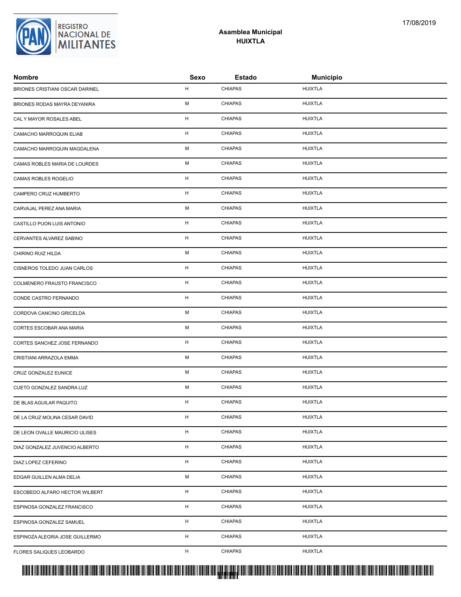| <b>Nombre</b>                   | Sexo        | <b>Estado</b>  | <b>Municipio</b> |
|---------------------------------|-------------|----------------|------------------|
| BRIONES CRISTIANI OSCAR DARINEL | н           | <b>CHIAPAS</b> | <b>HUIXTLA</b>   |
| BRIONES RODAS MAYRA DEYANIRA    | М           | <b>CHIAPAS</b> | <b>HUIXTLA</b>   |
| CAL Y MAYOR ROSALES ABEL        | H           | <b>CHIAPAS</b> | <b>HUIXTLA</b>   |
| CAMACHO MARROQUIN ELIAB         | Н           | <b>CHIAPAS</b> | <b>HUIXTLA</b>   |
| CAMACHO MARROQUIN MAGDALENA     | М           | <b>CHIAPAS</b> | <b>HUIXTLA</b>   |
| CAMAS ROBLES MARIA DE LOURDES   | М           | <b>CHIAPAS</b> | <b>HUIXTLA</b>   |
| CAMAS ROBLES ROGELIO            | Н           | <b>CHIAPAS</b> | <b>HUIXTLA</b>   |
| CAMPERO CRUZ HUMBERTO           | $\mathsf H$ | <b>CHIAPAS</b> | <b>HUIXTLA</b>   |
| CARVAJAL PEREZ ANA MARIA        | М           | <b>CHIAPAS</b> | <b>HUIXTLA</b>   |
| CASTILLO PUON LUIS ANTONIO      | H           | <b>CHIAPAS</b> | <b>HUIXTLA</b>   |
| CERVANTES ALVAREZ SABINO        | н           | <b>CHIAPAS</b> | <b>HUIXTLA</b>   |
| CHIRINO RUIZ HILDA              | М           | <b>CHIAPAS</b> | <b>HUIXTLA</b>   |
| CISNEROS TOLEDO JUAN CARLOS     | н           | <b>CHIAPAS</b> | <b>HUIXTLA</b>   |
| COLMENERO FRAUSTO FRANCISCO     | Н           | <b>CHIAPAS</b> | <b>HUIXTLA</b>   |
| CONDE CASTRO FERNANDO           | Н           | <b>CHIAPAS</b> | <b>HUIXTLA</b>   |
| CORDOVA CANCINO GRICELDA        | М           | <b>CHIAPAS</b> | <b>HUIXTLA</b>   |
| CORTES ESCOBAR ANA MARIA        | М           | <b>CHIAPAS</b> | <b>HUIXTLA</b>   |
| CORTES SANCHEZ JOSE FERNANDO    | н           | <b>CHIAPAS</b> | <b>HUIXTLA</b>   |
| CRISTIANI ARRAZOLA EMMA         | М           | <b>CHIAPAS</b> | <b>HUIXTLA</b>   |
| CRUZ GONZALEZ EUNICE            | М           | <b>CHIAPAS</b> | <b>HUIXTLA</b>   |
| CUETO GONZALEZ SANDRA LUZ       | М           | <b>CHIAPAS</b> | <b>HUIXTLA</b>   |
| DE BLAS AGUILAR PAQUITO         | н           | <b>CHIAPAS</b> | <b>HUIXTLA</b>   |
| DE LA CRUZ MOLINA CESAR DAVID   | H           | <b>CHIAPAS</b> | <b>HUIXTLA</b>   |
| DE LEON OVALLE MAURICIO ULISES  | Н           | <b>CHIAPAS</b> | <b>HUIXTLA</b>   |
| DIAZ GONZALEZ JUVENCIO ALBERTO  | н           | <b>CHIAPAS</b> | <b>HUIXTLA</b>   |
| DIAZ LOPEZ CEFERINO             | н           | <b>CHIAPAS</b> | <b>HUIXTLA</b>   |
| EDGAR GUILLEN ALMA DELIA        | М           | <b>CHIAPAS</b> | <b>HUIXTLA</b>   |
| ESCOBEDO ALFARO HECTOR WILBERT  | н           | <b>CHIAPAS</b> | <b>HUIXTLA</b>   |
| ESPINOSA GONZALEZ FRANCISCO     | н           | <b>CHIAPAS</b> | <b>HUIXTLA</b>   |
| ESPINOSA GONZALEZ SAMUEL        | н           | <b>CHIAPAS</b> | <b>HUIXTLA</b>   |
| ESPINOZA ALEGRIA JOSE GUILLERMO | H           | <b>CHIAPAS</b> | <b>HUIXTLA</b>   |
| FLORES SALIQUES LEOBARDO        | H           | <b>CHIAPAS</b> | <b>HUIXTLA</b>   |
|                                 |             |                |                  |



#### **Asamblea Municipal HUIXTLA**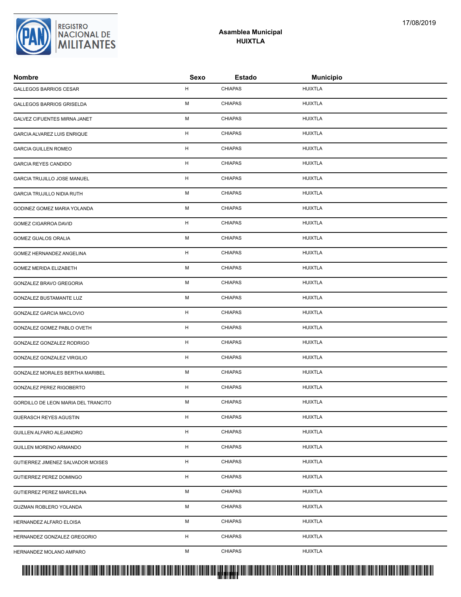| Nombre                              | Sexo                      | <b>Estado</b>  | <b>Municipio</b> |
|-------------------------------------|---------------------------|----------------|------------------|
| GALLEGOS BARRIOS CESAR              | H                         | <b>CHIAPAS</b> | <b>HUIXTLA</b>   |
| GALLEGOS BARRIOS GRISELDA           | М                         | <b>CHIAPAS</b> | <b>HUIXTLA</b>   |
| GALVEZ CIFUENTES MIRNA JANET        | M                         | <b>CHIAPAS</b> | <b>HUIXTLA</b>   |
| GARCIA ALVAREZ LUIS ENRIQUE         | H                         | <b>CHIAPAS</b> | <b>HUIXTLA</b>   |
| <b>GARCIA GUILLEN ROMEO</b>         | н                         | <b>CHIAPAS</b> | <b>HUIXTLA</b>   |
| <b>GARCIA REYES CANDIDO</b>         | $\boldsymbol{\mathsf{H}}$ | <b>CHIAPAS</b> | <b>HUIXTLA</b>   |
| GARCIA TRUJILLO JOSE MANUEL         | H                         | <b>CHIAPAS</b> | <b>HUIXTLA</b>   |
| GARCIA TRUJILLO NIDIA RUTH          | M                         | <b>CHIAPAS</b> | <b>HUIXTLA</b>   |
| GODINEZ GOMEZ MARIA YOLANDA         | M                         | <b>CHIAPAS</b> | <b>HUIXTLA</b>   |
| <b>GOMEZ CIGARROA DAVID</b>         | н                         | <b>CHIAPAS</b> | <b>HUIXTLA</b>   |
| GOMEZ GUALOS ORALIA                 | М                         | <b>CHIAPAS</b> | <b>HUIXTLA</b>   |
| GOMEZ HERNANDEZ ANGELINA            | H                         | <b>CHIAPAS</b> | <b>HUIXTLA</b>   |
| GOMEZ MERIDA ELIZABETH              | M                         | <b>CHIAPAS</b> | HUIXTLA          |
| GONZALEZ BRAVO GREGORIA             | M                         | <b>CHIAPAS</b> | <b>HUIXTLA</b>   |
| GONZALEZ BUSTAMANTE LUZ             | M                         | <b>CHIAPAS</b> | <b>HUIXTLA</b>   |
| GONZALEZ GARCIA MACLOVIO            | н                         | <b>CHIAPAS</b> | <b>HUIXTLA</b>   |
| GONZALEZ GOMEZ PABLO OVETH          | H                         | <b>CHIAPAS</b> | <b>HUIXTLA</b>   |
| GONZALEZ GONZALEZ RODRIGO           | H                         | <b>CHIAPAS</b> | <b>HUIXTLA</b>   |
| GONZALEZ GONZALEZ VIRGILIO          | H                         | <b>CHIAPAS</b> | <b>HUIXTLA</b>   |
| GONZALEZ MORALES BERTHA MARIBEL     | M                         | <b>CHIAPAS</b> | <b>HUIXTLA</b>   |
| GONZALEZ PEREZ RIGOBERTO            | н                         | <b>CHIAPAS</b> | <b>HUIXTLA</b>   |
| GORDILLO DE LEON MARIA DEL TRANCITO | М                         | <b>CHIAPAS</b> | <b>HUIXTLA</b>   |
| GUERASCH REYES AGUSTIN              | н                         | CHIAPAS        | <b>HUIXTLA</b>   |
| GUILLEN ALFARO ALEJANDRO            | н                         | <b>CHIAPAS</b> | <b>HUIXTLA</b>   |
| GUILLEN MORENO ARMANDO              | Н                         | <b>CHIAPAS</b> | <b>HUIXTLA</b>   |
| GUTIERREZ JIMENEZ SALVADOR MOISES   | н                         | <b>CHIAPAS</b> | HUIXTLA          |
| GUTIERREZ PEREZ DOMINGO             | н                         | <b>CHIAPAS</b> | <b>HUIXTLA</b>   |
| GUTIERREZ PEREZ MARCELINA           | М                         | <b>CHIAPAS</b> | <b>HUIXTLA</b>   |
| GUZMAN ROBLERO YOLANDA              | м                         | <b>CHIAPAS</b> | <b>HUIXTLA</b>   |
| HERNANDEZ ALFARO ELOISA             | М                         | <b>CHIAPAS</b> | <b>HUIXTLA</b>   |
| HERNANDEZ GONZALEZ GREGORIO         | н                         | <b>CHIAPAS</b> | <b>HUIXTLA</b>   |
| HERNANDEZ MOLANO AMPARO             | м                         | <b>CHIAPAS</b> | <b>HUIXTLA</b>   |
|                                     |                           |                |                  |



### **Asamblea Municipal HUIXTLA**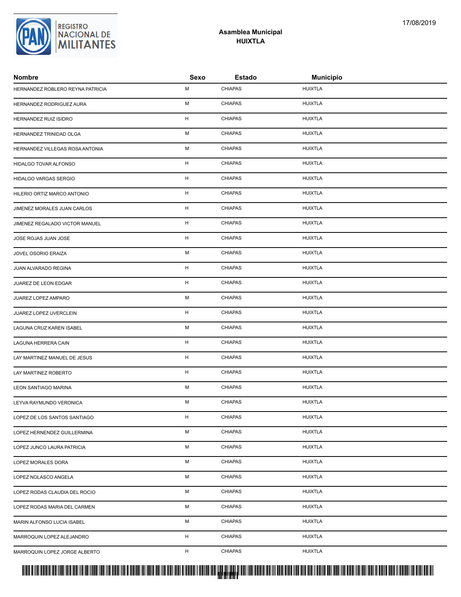| HERNANDEZ ROBLERO REYNA PATRICIA | М | <b>CHIAPAS</b> | <b>HUIXTLA</b> |
|----------------------------------|---|----------------|----------------|
| HERNANDEZ RODRIGUEZ AURA         | М | <b>CHIAPAS</b> | <b>HUIXTLA</b> |
| HERNANDEZ RUIZ ISIDRO            | H | <b>CHIAPAS</b> | <b>HUIXTLA</b> |
| HERNANDEZ TRINIDAD OLGA          | М | <b>CHIAPAS</b> | <b>HUIXTLA</b> |
| HERNANDEZ VILLEGAS ROSA ANTONIA  | M | <b>CHIAPAS</b> | <b>HUIXTLA</b> |
| HIDALGO TOVAR ALFONSO            | H | <b>CHIAPAS</b> | <b>HUIXTLA</b> |
| HIDALGO VARGAS SERGIO            | H | <b>CHIAPAS</b> | <b>HUIXTLA</b> |
| HILERIO ORTIZ MARCO ANTONIO      | H | <b>CHIAPAS</b> | <b>HUIXTLA</b> |
| JIMENEZ MORALES JUAN CARLOS      | н | <b>CHIAPAS</b> | <b>HUIXTLA</b> |
| JIMENEZ REGALADO VICTOR MANUEL   | H | <b>CHIAPAS</b> | <b>HUIXTLA</b> |
| JOSE ROJAS JUAN JOSE             | H | <b>CHIAPAS</b> | <b>HUIXTLA</b> |
| JOVEL OSORIO ERAIZA              | М | <b>CHIAPAS</b> | <b>HUIXTLA</b> |
| JUAN ALVARADO REGINA             | H | <b>CHIAPAS</b> | <b>HUIXTLA</b> |
| JUAREZ DE LEON EDGAR             | H | <b>CHIAPAS</b> | <b>HUIXTLA</b> |
| JUAREZ LOPEZ AMPARO              | М | <b>CHIAPAS</b> | <b>HUIXTLA</b> |
| JUAREZ LOPEZ UVERCLEIN           | H | <b>CHIAPAS</b> | <b>HUIXTLA</b> |
| LAGUNA CRUZ KAREN ISABEL         | М | <b>CHIAPAS</b> | <b>HUIXTLA</b> |
| LAGUNA HERRERA CAIN              | н | <b>CHIAPAS</b> | <b>HUIXTLA</b> |
| LAY MARTINEZ MANUEL DE JESUS     | H | <b>CHIAPAS</b> | <b>HUIXTLA</b> |
| LAY MARTINEZ ROBERTO             | H | <b>CHIAPAS</b> | <b>HUIXTLA</b> |
| LEON SANTIAGO MARINA             | М | <b>CHIAPAS</b> | <b>HUIXTLA</b> |
| LEYVA RAYMUNDO VERONICA          | M | <b>CHIAPAS</b> | <b>HUIXTLA</b> |
| LOPEZ DE LOS SANTOS SANTIAGO     | н | <b>CHIAPAS</b> | <b>HUIXTLA</b> |
| LOPEZ HERNENDEZ GUILLERMINA      | М | <b>CHIAPAS</b> | <b>HUIXTLA</b> |
| LOPEZ JUNCO LAURA PATRICIA       | М | <b>CHIAPAS</b> | <b>HUIXTLA</b> |
| LOPEZ MORALES DORA               | М | <b>CHIAPAS</b> | <b>HUIXTLA</b> |
| LOPEZ NOLASCO ANGELA             | М | <b>CHIAPAS</b> | <b>HUIXTLA</b> |
| LOPEZ RODAS CLAUDIA DEL ROCIO    | М | <b>CHIAPAS</b> | <b>HUIXTLA</b> |
| LOPEZ RODAS MARIA DEL CARMEN     | М | <b>CHIAPAS</b> | <b>HUIXTLA</b> |
| MARIN ALFONSO LUCIA ISABEL       | М | <b>CHIAPAS</b> | <b>HUIXTLA</b> |
| MARROQUIN LOPEZ ALEJANDRO        | н | <b>CHIAPAS</b> | <b>HUIXTLA</b> |
| MARROQUIN LOPEZ JORGE ALBERTO    | H | <b>CHIAPAS</b> | <b>HUIXTLA</b> |
|                                  |   |                |                |



#### **Asamblea Municipal HUIXTLA**

**Nombre Sexo Estado Municipio**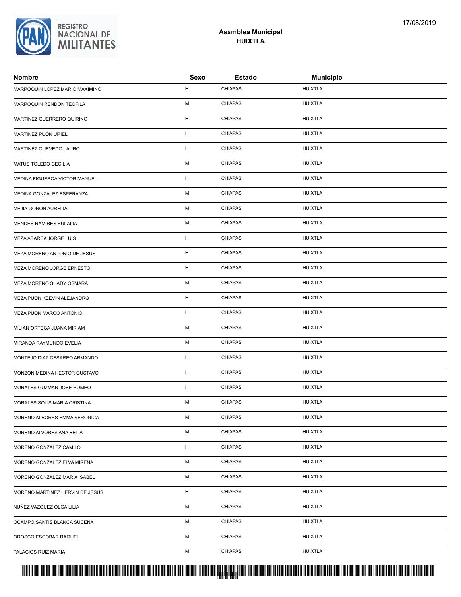| <b>Nombre</b>                   | Sexo                      | <b>Estado</b>  | <b>Municipio</b> |
|---------------------------------|---------------------------|----------------|------------------|
| MARROQUIN LOPEZ MARIO MAXIMINO  | н                         | <b>CHIAPAS</b> | <b>HUIXTLA</b>   |
| MARROQUIN RENDON TEOFILA        | M                         | <b>CHIAPAS</b> | <b>HUIXTLA</b>   |
| MARTINEZ GUERRERO QUIRINO       | H                         | <b>CHIAPAS</b> | <b>HUIXTLA</b>   |
| MARTINEZ PUON URIEL             | H                         | <b>CHIAPAS</b> | <b>HUIXTLA</b>   |
| MARTINEZ QUEVEDO LAURO          | н                         | <b>CHIAPAS</b> | <b>HUIXTLA</b>   |
| MATUS TOLEDO CECILIA            | M                         | <b>CHIAPAS</b> | <b>HUIXTLA</b>   |
| MEDINA FIGUEROA VICTOR MANUEL   | н                         | <b>CHIAPAS</b> | <b>HUIXTLA</b>   |
| MEDINA GONZALEZ ESPERANZA       | M                         | <b>CHIAPAS</b> | <b>HUIXTLA</b>   |
| MEJIA GONON AURELIA             | M                         | <b>CHIAPAS</b> | <b>HUIXTLA</b>   |
| <b>MENDES RAMIRES EULALIA</b>   | M                         | <b>CHIAPAS</b> | <b>HUIXTLA</b>   |
| MEZA ABARCA JORGE LUIS          | H                         | <b>CHIAPAS</b> | <b>HUIXTLA</b>   |
| MEZA MORENO ANTONIO DE JESUS    | н                         | <b>CHIAPAS</b> | <b>HUIXTLA</b>   |
| MEZA MORENO JORGE ERNESTO       | H                         | <b>CHIAPAS</b> | <b>HUIXTLA</b>   |
| MEZA MORENO SHADY OSMARA        | M                         | <b>CHIAPAS</b> | <b>HUIXTLA</b>   |
| MEZA PUON KEEVIN ALEJANDRO      | н                         | <b>CHIAPAS</b> | <b>HUIXTLA</b>   |
| MEZA PUON MARCO ANTONIO         | H                         | <b>CHIAPAS</b> | <b>HUIXTLA</b>   |
| MILIAN ORTEGA JUANA MIRIAM      | M                         | <b>CHIAPAS</b> | <b>HUIXTLA</b>   |
| MIRANDA RAYMUNDO EVELIA         | M                         | <b>CHIAPAS</b> | <b>HUIXTLA</b>   |
| MONTEJO DIAZ CESAREO ARMANDO    | $\boldsymbol{\mathsf{H}}$ | <b>CHIAPAS</b> | <b>HUIXTLA</b>   |
| MONZON MEDINA HECTOR GUSTAVO    | H                         | <b>CHIAPAS</b> | <b>HUIXTLA</b>   |
| MORALES GUZMAN JOSE ROMEO       | H                         | <b>CHIAPAS</b> | <b>HUIXTLA</b>   |
| MORALES SOLIS MARIA CRISTINA    | M                         | <b>CHIAPAS</b> | <b>HUIXTLA</b>   |
| MORENO ALBORES EMMA VERONICA    | М                         | <b>CHIAPAS</b> | <b>HUIXTLA</b>   |
| MORENO ALVORES ANA BELIA        | М                         | <b>CHIAPAS</b> | <b>HUIXTLA</b>   |
| MORENO GONZALEZ CAMILO          | н                         | <b>CHIAPAS</b> | <b>HUIXTLA</b>   |
| MORENO GONZALEZ ELVA MIRENA     | М                         | <b>CHIAPAS</b> | <b>HUIXTLA</b>   |
| MORENO GONZALEZ MARIA ISABEL    | М                         | <b>CHIAPAS</b> | <b>HUIXTLA</b>   |
| MORENO MARTINEZ HERVIN DE JESUS | н                         | <b>CHIAPAS</b> | <b>HUIXTLA</b>   |
| NUÑEZ VAZQUEZ OLGA LILIA        | М                         | <b>CHIAPAS</b> | <b>HUIXTLA</b>   |
| OCAMPO SANTIS BLANCA SUCENA     | М                         | <b>CHIAPAS</b> | <b>HUIXTLA</b>   |
| OROSCO ESCOBAR RAQUEL           | М                         | <b>CHIAPAS</b> | <b>HUIXTLA</b>   |
| PALACIOS RUIZ MARIA             | М                         | <b>CHIAPAS</b> | <b>HUIXTLA</b>   |

**Asamblea Municipal HUIXTLA**

REGISTRO<br>NACIONAL DE **MILITANTES**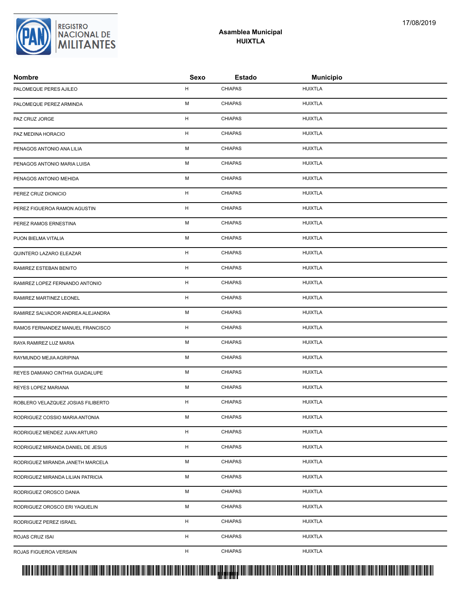| Nombre                             | Sexo        | <b>Estado</b>  | <b>Municipio</b> |
|------------------------------------|-------------|----------------|------------------|
| PALOMEQUE PERES AJILEO             | H           | <b>CHIAPAS</b> | <b>HUIXTLA</b>   |
| PALOMEQUE PEREZ ARMINDA            | M           | <b>CHIAPAS</b> | <b>HUIXTLA</b>   |
| PAZ CRUZ JORGE                     | $\mathsf H$ | <b>CHIAPAS</b> | <b>HUIXTLA</b>   |
| PAZ MEDINA HORACIO                 | H           | <b>CHIAPAS</b> | <b>HUIXTLA</b>   |
| PENAGOS ANTONIO ANA LILIA          | M           | <b>CHIAPAS</b> | <b>HUIXTLA</b>   |
| PENAGOS ANTONIO MARIA LUISA        | M           | <b>CHIAPAS</b> | <b>HUIXTLA</b>   |
| PENAGOS ANTONIO MEHIDA             | M           | <b>CHIAPAS</b> | <b>HUIXTLA</b>   |
| PEREZ CRUZ DIONICIO                | H           | <b>CHIAPAS</b> | <b>HUIXTLA</b>   |
| PEREZ FIGUEROA RAMON AGUSTIN       | H           | <b>CHIAPAS</b> | <b>HUIXTLA</b>   |
| PEREZ RAMOS ERNESTINA              | M           | <b>CHIAPAS</b> | <b>HUIXTLA</b>   |
| PUON BIELMA VITALIA                | М           | <b>CHIAPAS</b> | <b>HUIXTLA</b>   |
| QUINTERO LAZARO ELEAZAR            | H           | <b>CHIAPAS</b> | <b>HUIXTLA</b>   |
| RAMIREZ ESTEBAN BENITO             | H           | <b>CHIAPAS</b> | HUIXTLA          |
| RAMIREZ LOPEZ FERNANDO ANTONIO     | H           | <b>CHIAPAS</b> | <b>HUIXTLA</b>   |
| RAMIREZ MARTINEZ LEONEL            | H           | <b>CHIAPAS</b> | <b>HUIXTLA</b>   |
| RAMIREZ SALVADOR ANDREA ALEJANDRA  | M           | <b>CHIAPAS</b> | <b>HUIXTLA</b>   |
| RAMOS FERNANDEZ MANUEL FRANCISCO   | H           | <b>CHIAPAS</b> | <b>HUIXTLA</b>   |
| RAYA RAMIREZ LUZ MARIA             | M           | <b>CHIAPAS</b> | <b>HUIXTLA</b>   |
| RAYMUNDO MEJIA AGRIPINA            | М           | <b>CHIAPAS</b> | <b>HUIXTLA</b>   |
| REYES DAMIANO CINTHIA GUADALUPE    | M           | <b>CHIAPAS</b> | <b>HUIXTLA</b>   |
| REYES LOPEZ MARIANA                | M           | <b>CHIAPAS</b> | <b>HUIXTLA</b>   |
| ROBLERO VELAZQUEZ JOSIAS FILIBERTO | н           | <b>CHIAPAS</b> | <b>HUIXTLA</b>   |
| RODRIGUEZ COSSIO MARIA ANTONIA     | М           | <b>CHIAPAS</b> | <b>HUIXTLA</b>   |
| RODRIGUEZ MENDEZ JUAN ARTURO       | H           | <b>CHIAPAS</b> | <b>HUIXTLA</b>   |
| RODRIGUEZ MIRANDA DANIEL DE JESUS  | H           | <b>CHIAPAS</b> | <b>HUIXTLA</b>   |
| RODRIGUEZ MIRANDA JANETH MARCELA   | M           | <b>CHIAPAS</b> | <b>HUIXTLA</b>   |
| RODRIGUEZ MIRANDA LILIAN PATRICIA  | М           | <b>CHIAPAS</b> | <b>HUIXTLA</b>   |
| RODRIGUEZ OROSCO DANIA             | M           | <b>CHIAPAS</b> | <b>HUIXTLA</b>   |
| RODRIGUEZ OROSCO ERI YAQUELIN      | М           | <b>CHIAPAS</b> | <b>HUIXTLA</b>   |
| RODRIGUEZ PEREZ ISRAEL             | н           | <b>CHIAPAS</b> | <b>HUIXTLA</b>   |
| ROJAS CRUZ ISAI                    | H           | <b>CHIAPAS</b> | <b>HUIXTLA</b>   |
| ROJAS FIGUEROA VERSAIN             | H           | <b>CHIAPAS</b> | <b>HUIXTLA</b>   |
|                                    |             |                |                  |



### **Asamblea Municipal HUIXTLA**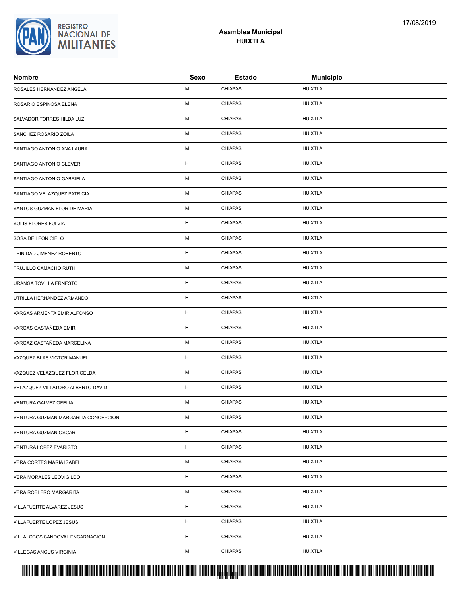| ROSALES HERNANDEZ ANGELA            | М | <b>CHIAPAS</b> | <b>HUIXTLA</b> |
|-------------------------------------|---|----------------|----------------|
| ROSARIO ESPINOSA ELENA              | М | <b>CHIAPAS</b> | <b>HUIXTLA</b> |
| SALVADOR TORRES HILDA LUZ           | М | <b>CHIAPAS</b> | <b>HUIXTLA</b> |
| SANCHEZ ROSARIO ZOILA               | М | <b>CHIAPAS</b> | <b>HUIXTLA</b> |
| SANTIAGO ANTONIO ANA LAURA          | М | <b>CHIAPAS</b> | <b>HUIXTLA</b> |
| SANTIAGO ANTONIO CLEVER             | H | <b>CHIAPAS</b> | <b>HUIXTLA</b> |
| SANTIAGO ANTONIO GABRIELA           | М | <b>CHIAPAS</b> | <b>HUIXTLA</b> |
| SANTIAGO VELAZQUEZ PATRICIA         | М | <b>CHIAPAS</b> | <b>HUIXTLA</b> |
| SANTOS GUZMAN FLOR DE MARIA         | М | <b>CHIAPAS</b> | <b>HUIXTLA</b> |
| SOLIS FLORES FULVIA                 | н | <b>CHIAPAS</b> | <b>HUIXTLA</b> |
| SOSA DE LEON CIELO                  | М | <b>CHIAPAS</b> | <b>HUIXTLA</b> |
| TRINIDAD JIMENEZ ROBERTO            | н | <b>CHIAPAS</b> | <b>HUIXTLA</b> |
| TRUJILLO CAMACHO RUTH               | М | <b>CHIAPAS</b> | <b>HUIXTLA</b> |
| URANGA TOVILLA ERNESTO              | н | <b>CHIAPAS</b> | <b>HUIXTLA</b> |
| UTRILLA HERNANDEZ ARMANDO           | H | <b>CHIAPAS</b> | <b>HUIXTLA</b> |
| VARGAS ARMENTA EMIR ALFONSO         | н | <b>CHIAPAS</b> | <b>HUIXTLA</b> |
| VARGAS CASTAÑEDA EMIR               | н | <b>CHIAPAS</b> | <b>HUIXTLA</b> |
| VARGAZ CASTAÑEDA MARCELINA          | М | <b>CHIAPAS</b> | <b>HUIXTLA</b> |
| VAZQUEZ BLAS VICTOR MANUEL          | н | <b>CHIAPAS</b> | <b>HUIXTLA</b> |
| VAZQUEZ VELAZQUEZ FLORICELDA        | М | <b>CHIAPAS</b> | <b>HUIXTLA</b> |
| VELAZQUEZ VILLATORO ALBERTO DAVID   | н | <b>CHIAPAS</b> | <b>HUIXTLA</b> |
| VENTURA GALVEZ OFELIA               | М | <b>CHIAPAS</b> | <b>HUIXTLA</b> |
| VENTURA GUZMAN MARGARITA CONCEPCION | м | <b>CHIAPAS</b> | <b>HUIXTLA</b> |
| VENTURA GUZMAN OSCAR                | н | <b>CHIAPAS</b> | <b>HUIXTLA</b> |
| VENTURA LOPEZ EVARISTO              | H | <b>CHIAPAS</b> | <b>HUIXTLA</b> |
| VERA CORTES MARIA ISABEL            | М | <b>CHIAPAS</b> | <b>HUIXTLA</b> |
| VERA MORALES LEOVIGILDO             | н | <b>CHIAPAS</b> | <b>HUIXTLA</b> |
| VERA ROBLERO MARGARITA              | М | <b>CHIAPAS</b> | <b>HUIXTLA</b> |
| VILLAFUERTE ALVAREZ JESUS           | H | <b>CHIAPAS</b> | <b>HUIXTLA</b> |
| VILLAFUERTE LOPEZ JESUS             | H | <b>CHIAPAS</b> | <b>HUIXTLA</b> |
| VILLALOBOS SANDOVAL ENCARNACION     | н | <b>CHIAPAS</b> | <b>HUIXTLA</b> |
| VILLEGAS ANGUS VIRGINIA             | М | <b>CHIAPAS</b> | <b>HUIXTLA</b> |
|                                     |   |                |                |



#### **Asamblea Municipal HUIXTLA**

**Nombre Sexo Estado Municipio**